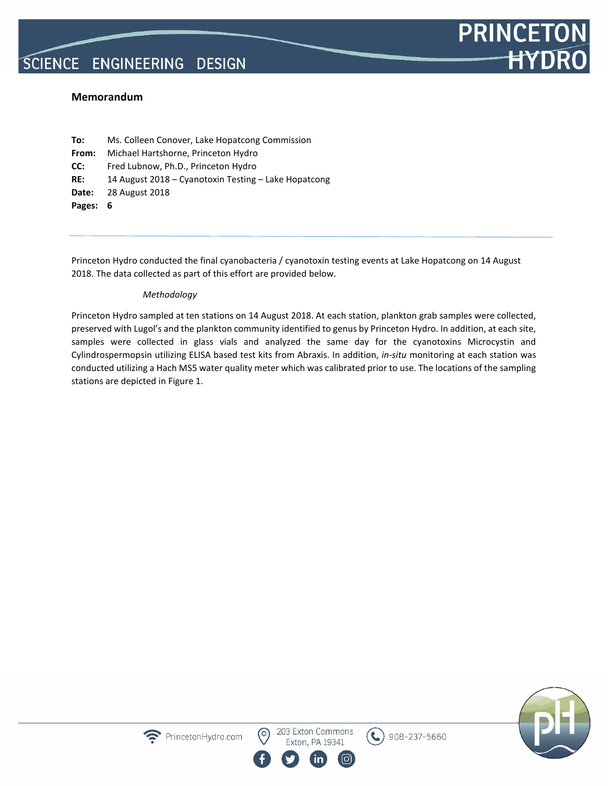### **Memorandum**

**To:** Ms. Colleen Conover, Lake Hopatcong Commission **From:** Michael Hartshorne, Princeton Hydro **CC:** Fred Lubnow, Ph.D., Princeton Hydro **RE:** 14 August 2018 – Cyanotoxin Testing – Lake Hopatcong **Date:** 28 August 2018 **Pages: 6**

Princeton Hydro conducted the final cyanobacteria / cyanotoxin testing events at Lake Hopatcong on 14 August 2018. The data collected as part of this effort are provided below.

#### *Methodology*

PrincetonHydro.com

Princeton Hydro sampled at ten stations on 14 August 2018. At each station, plankton grab samples were collected, preserved with Lugol's and the plankton community identified to genus by Princeton Hydro. In addition, at each site, samples were collected in glass vials and analyzed the same day for the cyanotoxins Microcystin and Cylindrospermopsin utilizing ELISA based test kits from Abraxis. In addition, *in-situ* monitoring at each station was conducted utilizing a Hach MS5 water quality meter which was calibrated prior to use. The locations of the sampling stations are depicted in Figure 1.

203 Exton Commons

Exton, PA 19341

 $\mathcal{L}$ 



**PRINCETO** 

**HYDR**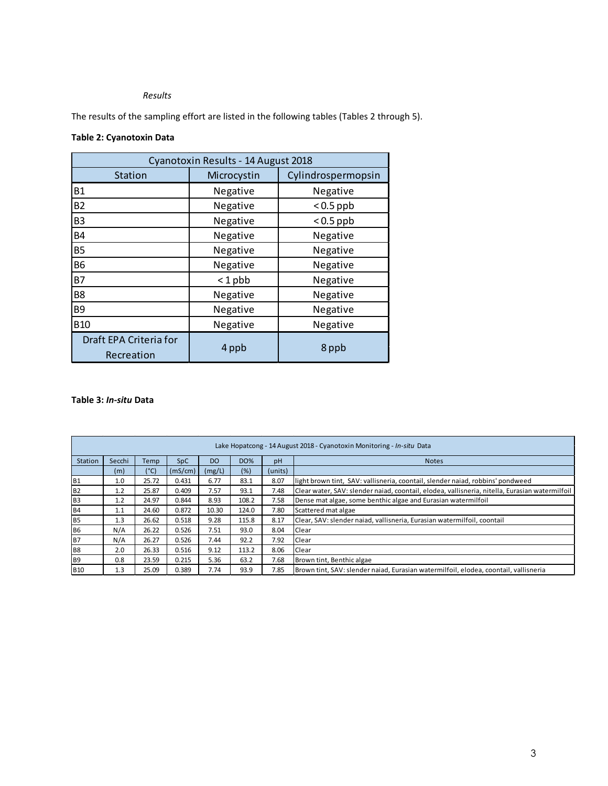### *Results*

The results of the sampling effort are listed in the following tables (Tables 2 through 5).

## **Table 2: Cyanotoxin Data**

j.

| Cyanotoxin Results - 14 August 2018  |             |                    |  |  |  |  |  |  |  |  |  |
|--------------------------------------|-------------|--------------------|--|--|--|--|--|--|--|--|--|
| <b>Station</b>                       | Microcystin | Cylindrospermopsin |  |  |  |  |  |  |  |  |  |
| <b>B1</b>                            | Negative    | Negative           |  |  |  |  |  |  |  |  |  |
| <b>B2</b>                            | Negative    | $< 0.5$ ppb        |  |  |  |  |  |  |  |  |  |
| B <sub>3</sub>                       | Negative    | $< 0.5$ ppb        |  |  |  |  |  |  |  |  |  |
| <b>B4</b>                            | Negative    | Negative           |  |  |  |  |  |  |  |  |  |
| <b>B5</b>                            | Negative    | Negative           |  |  |  |  |  |  |  |  |  |
| <b>B6</b>                            | Negative    | Negative           |  |  |  |  |  |  |  |  |  |
| <b>B7</b>                            | $< 1$ pbb   | Negative           |  |  |  |  |  |  |  |  |  |
| B <sub>8</sub>                       | Negative    | Negative           |  |  |  |  |  |  |  |  |  |
| B <sub>9</sub>                       | Negative    | Negative           |  |  |  |  |  |  |  |  |  |
| <b>B10</b>                           | Negative    | Negative           |  |  |  |  |  |  |  |  |  |
| Draft EPA Criteria for<br>Recreation | 4 ppb       | 8 ppb              |  |  |  |  |  |  |  |  |  |

#### **Table 3:** *In-situ* **Data**

|                | Lake Hopatcong - 14 August 2018 - Cyanotoxin Monitoring - In-situ Data |       |            |        |            |         |                                                                                                |  |  |  |  |  |
|----------------|------------------------------------------------------------------------|-------|------------|--------|------------|---------|------------------------------------------------------------------------------------------------|--|--|--|--|--|
| Station        | Secchi                                                                 | Temp  | <b>SpC</b> | DO.    | <b>DO%</b> | pH      | <b>Notes</b>                                                                                   |  |  |  |  |  |
|                | (m)                                                                    | (°C)  | (mS/cm)    | (mg/L) | (%)        | (units) |                                                                                                |  |  |  |  |  |
| <b>B1</b>      | 1.0                                                                    | 25.72 | 0.431      | 6.77   | 83.1       | 8.07    | light brown tint, SAV: vallisneria, coontail, slender naiad, robbins' pondweed                 |  |  |  |  |  |
| <b>B2</b>      | 1.2                                                                    | 25.87 | 0.409      | 7.57   | 93.1       | 7.48    | Clear water, SAV: slender naiad, coontail, elodea, vallisneria, nitella, Eurasian watermilfoil |  |  |  |  |  |
| B <sub>3</sub> | 1.2                                                                    | 24.97 | 0.844      | 8.93   | 108.2      | 7.58    | Dense mat algae, some benthic algae and Eurasian watermilfoil                                  |  |  |  |  |  |
| <b>B4</b>      | 1.1                                                                    | 24.60 | 0.872      | 10.30  | 124.0      | 7.80    | Scattered mat algae                                                                            |  |  |  |  |  |
| <b>B5</b>      | 1.3                                                                    | 26.62 | 0.518      | 9.28   | 115.8      | 8.17    | Clear, SAV: slender naiad, vallisneria, Eurasian watermilfoil, coontail                        |  |  |  |  |  |
| <b>B6</b>      | N/A                                                                    | 26.22 | 0.526      | 7.51   | 93.0       | 8.04    | Clear                                                                                          |  |  |  |  |  |
| B7             | N/A                                                                    | 26.27 | 0.526      | 7.44   | 92.2       | 7.92    | Clear                                                                                          |  |  |  |  |  |
| <b>B8</b>      | 2.0                                                                    | 26.33 | 0.516      | 9.12   | 113.2      | 8.06    | Clear                                                                                          |  |  |  |  |  |
| B <sub>9</sub> | 0.8                                                                    | 23.59 | 0.215      | 5.36   | 63.2       | 7.68    | Brown tint, Benthic algae                                                                      |  |  |  |  |  |
| <b>B10</b>     | 1.3                                                                    | 25.09 | 0.389      | 7.74   | 93.9       | 7.85    | Brown tint, SAV: slender naiad, Eurasian watermilfoil, elodea, coontail, vallisneria           |  |  |  |  |  |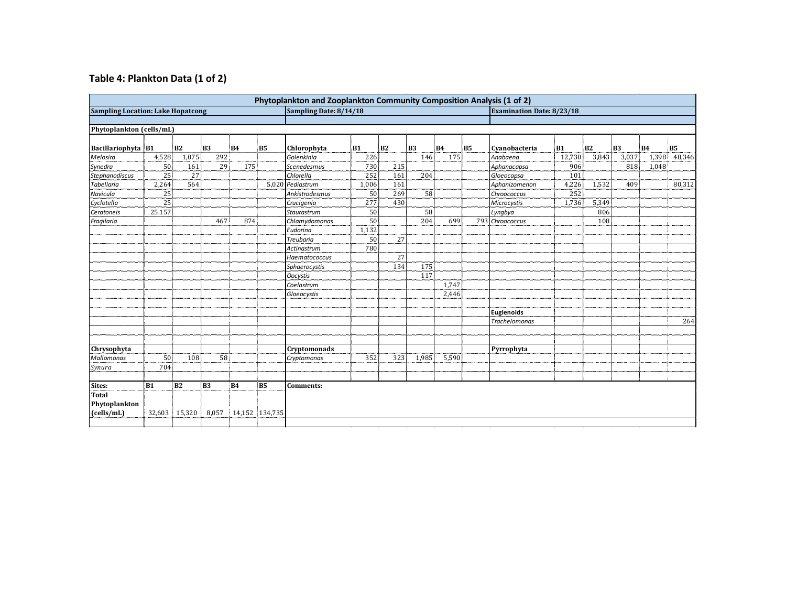# **Table 4: Plankton Data (1 of 2)**

| <b>Sampling Location: Lake Hopatcong</b> |        |                |                |           |                | Sampling Date: 8/14/18 |       |           |       |           | Phytoplankton and Zooplankton Community Composition Analysis (1 of 2)<br><b>Examination Date: 8/23/18</b> |                      |           |       |           |           |           |
|------------------------------------------|--------|----------------|----------------|-----------|----------------|------------------------|-------|-----------|-------|-----------|-----------------------------------------------------------------------------------------------------------|----------------------|-----------|-------|-----------|-----------|-----------|
|                                          |        |                |                |           |                |                        |       |           |       |           |                                                                                                           |                      |           |       |           |           |           |
| Phytoplankton (cells/mL)                 |        |                |                |           |                |                        |       |           |       |           |                                                                                                           |                      |           |       |           |           |           |
| Bacillariophyta B1                       |        | B2             | B <sub>3</sub> | <b>B4</b> | B5.            | Chlorophyta            | B1    | <b>B2</b> | B3    | <b>B4</b> | B5                                                                                                        | Cvanobacteria        | <b>B1</b> | B2    | <b>B3</b> | <b>B4</b> | <b>B5</b> |
| Melosira                                 | 4,528  | 1,075          | 292            |           |                | Golenkinia             | 226   |           | 146   | 175       |                                                                                                           | Anabaena             | 12,730    | 3,843 | 3,037     | 1,398     | 48,346    |
| Synedra                                  | 50     | 161            | 29             | 175       |                | Scenedesmus            | 730   | 215       |       |           |                                                                                                           | Aphanacapsa          | 906       |       | 818       | 1,048     |           |
| <b>Stephanodiscus</b>                    | 25     | 27             |                |           |                | Chlorella              | 252   | 161       | 204   |           |                                                                                                           | Gloeocapsa           | 101       |       |           |           |           |
| <b>Tabellaria</b>                        | 2,264  | 564            |                |           |                | 5,020 Pediastrum       | 1,006 | 161       |       |           |                                                                                                           | Aphanizomenon        | 4,226     | 1,532 | 409       |           | 80,312    |
| Navicula                                 | 25     |                |                |           |                | Ankistrodesmus         | 50    | 269       | 58    |           |                                                                                                           | Chroococcus          | 252       |       |           |           |           |
| Cyclotella                               | 25     |                |                |           |                | Crucigenia             | 277   | 430       |       |           |                                                                                                           | Microcystis          | 1,736     | 5,349 |           |           |           |
| Ceratoneis                               | 25.157 |                |                |           |                | Staurastrum            | 50    |           | 58    |           |                                                                                                           | Lyngbya              |           | 806   |           |           |           |
| Fragilaria                               |        |                | 467            | 874       |                | Chlamydomonas          | 50    |           | 204   | 699       |                                                                                                           | 793 Chroococcus      |           | 108   |           |           |           |
|                                          |        |                |                |           |                | Eudorina               | 1,132 |           |       |           |                                                                                                           |                      |           |       |           |           |           |
|                                          |        |                |                |           |                | Treubaria              | 50    | 27        |       |           |                                                                                                           |                      |           |       |           |           |           |
|                                          |        |                |                |           |                | Actinastrum            | 780   |           |       |           |                                                                                                           |                      |           |       |           |           |           |
|                                          |        |                |                |           |                | Haematococcus          |       | 27        |       |           |                                                                                                           |                      |           |       |           |           |           |
|                                          |        |                |                |           |                | Sphaerocystis          |       | 134       | 175   |           |                                                                                                           |                      |           |       |           |           |           |
|                                          |        |                |                |           |                | <b>Oocystis</b>        |       |           | 117   |           |                                                                                                           |                      |           |       |           |           |           |
|                                          |        |                |                |           |                | Coelastrum             |       |           |       | 1,747     |                                                                                                           |                      |           |       |           |           |           |
|                                          |        |                |                |           |                | Gloeocystis            |       |           |       | 2,446     |                                                                                                           |                      |           |       |           |           |           |
|                                          |        |                |                |           |                |                        |       |           |       |           |                                                                                                           |                      |           |       |           |           |           |
|                                          |        |                |                |           |                |                        |       |           |       |           |                                                                                                           | <b>Euglenoids</b>    |           |       |           |           |           |
|                                          |        |                |                |           |                |                        |       |           |       |           |                                                                                                           | <b>Trachelomonas</b> |           |       |           |           | 264       |
|                                          |        |                |                |           |                |                        |       |           |       |           |                                                                                                           |                      |           |       |           |           |           |
|                                          |        |                |                |           |                |                        |       |           |       |           |                                                                                                           |                      |           |       |           |           |           |
| Chrysophyta                              |        |                |                |           |                | Cryptomonads           |       |           |       |           |                                                                                                           | Pyrrophyta           |           |       |           |           |           |
| Mallomonas                               | 50     | 108            | 58             |           |                | Cryptomonas            | 352   | 323       | 1,985 | 5,590     |                                                                                                           |                      |           |       |           |           |           |
| Synura                                   | 704    |                |                |           |                |                        |       |           |       |           |                                                                                                           |                      |           |       |           |           |           |
|                                          |        |                |                |           |                |                        |       |           |       |           |                                                                                                           |                      |           |       |           |           |           |
| Sites:                                   | B1     | B <sub>2</sub> | B <sub>3</sub> | <b>B4</b> | B5             | Comments:              |       |           |       |           |                                                                                                           |                      |           |       |           |           |           |
| <b>Total</b>                             |        |                |                |           |                |                        |       |           |       |           |                                                                                                           |                      |           |       |           |           |           |
| Phytoplankton                            |        |                |                |           |                |                        |       |           |       |           |                                                                                                           |                      |           |       |           |           |           |
| (cells/mL)                               | 32,603 | 15,320         | 8,057          |           | 14,152 134,735 |                        |       |           |       |           |                                                                                                           |                      |           |       |           |           |           |
|                                          |        |                |                |           |                |                        |       |           |       |           |                                                                                                           |                      |           |       |           |           |           |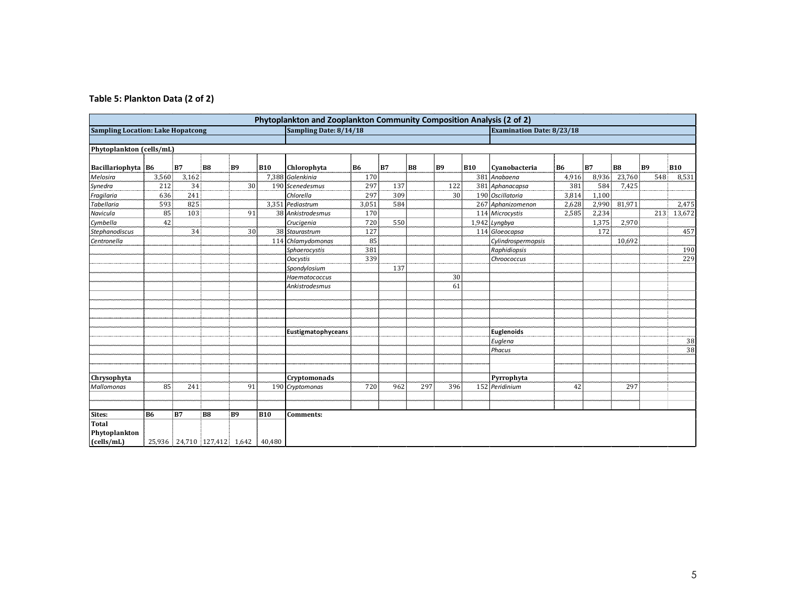|  | Table 5: Plankton Data (2 of 2) |  |
|--|---------------------------------|--|
|  |                                 |  |

| Phytoplankton and Zooplankton Community Composition Analysis (2 of 2) |       |                                   |    |                |            |                        |                                  |           |     |           |            |                    |                |       |                |     |            |
|-----------------------------------------------------------------------|-------|-----------------------------------|----|----------------|------------|------------------------|----------------------------------|-----------|-----|-----------|------------|--------------------|----------------|-------|----------------|-----|------------|
| <b>Sampling Location: Lake Hopatcong</b>                              |       |                                   |    |                |            | Sampling Date: 8/14/18 | <b>Examination Date: 8/23/18</b> |           |     |           |            |                    |                |       |                |     |            |
|                                                                       |       |                                   |    |                |            |                        |                                  |           |     |           |            |                    |                |       |                |     |            |
| Phytoplankton (cells/mL)                                              |       |                                   |    |                |            |                        |                                  |           |     |           |            |                    |                |       |                |     |            |
| Bacillariophyta B6                                                    |       | B7                                | B8 | B <sub>9</sub> | <b>B10</b> | Chlorophyta            | B6                               | <b>B7</b> | B8  | <b>B9</b> | <b>B10</b> | Cvanobacteria      | B <sub>6</sub> | B7    | B <sub>8</sub> | B9  | <b>B10</b> |
| Melosira                                                              | 3,560 | 3,162                             |    |                |            | 7,388 Golenkinia       | 170                              |           |     |           | 381        | Anabaena           | 4,916          | 8,936 | 23,760         | 548 | 8,531      |
| Synedra                                                               | 212   | 34                                |    | 30             |            | 190 Scenedesmus        | 297                              | 137       |     | 122       |            | 381 Aphanacapsa    | 381            | 584   | 7,425          |     |            |
| Fragilaria                                                            | 636   | 241                               |    |                |            | Chlorella              | 297                              | 309       |     | 30        |            | 190 Oscillatoria   | 3,814          | 1,100 |                |     |            |
| Tabellaria                                                            | 593   | 825                               |    |                |            | 3.351 Pediastrum       | 3,051                            | 584       |     |           |            | 267 Aphanizomenon  | 2,628          | 2,990 | 81,971         |     | 2,475      |
| Navicula                                                              | 85    | 103                               |    | 91             |            | 38 Ankistrodesmus      | 170                              |           |     |           |            | 114 Microcystis    | 2,585          | 2,234 |                | 213 | 13,672     |
| Cymbella                                                              | 42    |                                   |    |                |            | Crucigenia             | 720                              | 550       |     |           |            | 1,942 Lyngbya      |                | 1,375 | 2,970          |     |            |
| <b>Stephanodiscus</b>                                                 |       | 34                                |    | 30             |            | 38 Staurastrum         | 127                              |           |     |           |            | 114 Gloeocapsa     |                | 172   |                |     | 457        |
| Centronella                                                           |       |                                   |    |                |            | 114 Chlamydomonas      | 85                               |           |     |           |            | Cylindrospermopsis |                |       | 10,692         |     |            |
|                                                                       |       |                                   |    |                |            | Sphaerocystis          | 381                              |           |     |           |            | Raphidiopsis       |                |       |                |     | 190        |
|                                                                       |       |                                   |    |                |            | <b>Oocystis</b>        | 339                              |           |     |           |            | Chroococcus        |                |       |                |     | 229        |
|                                                                       |       |                                   |    |                |            | Spondylosium           |                                  | 137       |     |           |            |                    |                |       |                |     |            |
|                                                                       |       |                                   |    |                |            | Haematococcus          |                                  |           |     | 30        |            |                    |                |       |                |     |            |
|                                                                       |       |                                   |    |                |            | <b>Ankistrodesmus</b>  |                                  |           |     | 61        |            |                    |                |       |                |     |            |
|                                                                       |       |                                   |    |                |            |                        |                                  |           |     |           |            |                    |                |       |                |     |            |
|                                                                       |       |                                   |    |                |            |                        |                                  |           |     |           |            |                    |                |       |                |     |            |
|                                                                       |       |                                   |    |                |            |                        |                                  |           |     |           |            |                    |                |       |                |     |            |
|                                                                       |       |                                   |    |                |            |                        |                                  |           |     |           |            |                    |                |       |                |     |            |
|                                                                       |       |                                   |    |                |            | Eustigmatophyceans     |                                  |           |     |           |            | <b>Euglenoids</b>  |                |       |                |     |            |
|                                                                       |       |                                   |    |                |            |                        |                                  |           |     |           |            | Euglena            |                |       |                |     | 38         |
|                                                                       |       |                                   |    |                |            |                        |                                  |           |     |           |            | Phacus             |                |       |                |     | 38         |
|                                                                       |       |                                   |    |                |            |                        |                                  |           |     |           |            |                    |                |       |                |     |            |
|                                                                       |       |                                   |    |                |            |                        |                                  |           |     |           |            |                    |                |       |                |     |            |
| Chrysophyta                                                           |       |                                   |    |                |            | Cryptomonads           |                                  |           |     |           |            | Pyrrophyta         |                |       |                |     |            |
| <b>Mallomonas</b>                                                     | 85    | 241                               |    | 91             |            | 190 Cryptomonas        | 720                              | 962       | 297 | 396       |            | 152 Peridinium     | 42             |       | 297            |     |            |
|                                                                       |       |                                   |    |                |            |                        |                                  |           |     |           |            |                    |                |       |                |     |            |
|                                                                       |       |                                   |    |                |            |                        |                                  |           |     |           |            |                    |                |       |                |     |            |
| Sites:                                                                | B6    | <b>B7</b>                         | B8 | B9             | <b>B10</b> | <b>Comments:</b>       |                                  |           |     |           |            |                    |                |       |                |     |            |
| <b>Total</b>                                                          |       |                                   |    |                |            |                        |                                  |           |     |           |            |                    |                |       |                |     |            |
| Phytoplankton                                                         |       |                                   |    |                |            |                        |                                  |           |     |           |            |                    |                |       |                |     |            |
| (cells/mL)                                                            |       | 25,936   24,710   127,412   1,642 |    |                | 40,480     |                        |                                  |           |     |           |            |                    |                |       |                |     |            |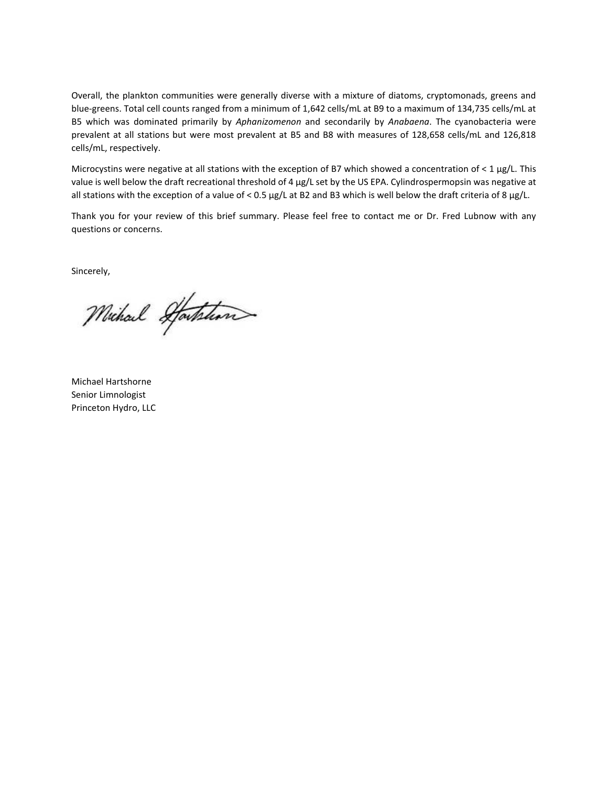Overall, the plankton communities were generally diverse with a mixture of diatoms, cryptomonads, greens and blue-greens. Total cell counts ranged from a minimum of 1,642 cells/mL at B9 to a maximum of 134,735 cells/mL at B5 which was dominated primarily by *Aphanizomenon* and secondarily by *Anabaena*. The cyanobacteria were prevalent at all stations but were most prevalent at B5 and B8 with measures of 128,658 cells/mL and 126,818 cells/mL, respectively.

Microcystins were negative at all stations with the exception of B7 which showed a concentration of < 1 µg/L. This value is well below the draft recreational threshold of 4 µg/L set by the US EPA. Cylindrospermopsin was negative at all stations with the exception of a value of < 0.5 µg/L at B2 and B3 which is well below the draft criteria of 8 µg/L.

Thank you for your review of this brief summary. Please feel free to contact me or Dr. Fred Lubnow with any questions or concerns.

Sincerely,

Michael Starthan

Michael Hartshorne Senior Limnologist Princeton Hydro, LLC